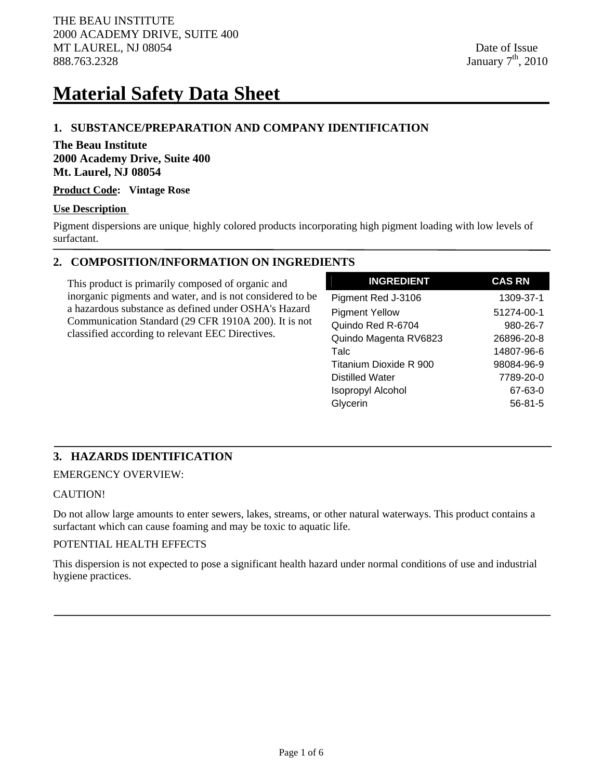# **Material Safety Data Sheet**

# **1. SUBSTANCE/PREPARATION AND COMPANY IDENTIFICATION**

# **The Beau Institute 2000 Academy Drive, Suite 400 Mt. Laurel, NJ 08054**

#### **Product Code: Vintage Rose**

#### **Use Description**

Pigment dispersions are unique, highly colored products incorporating high pigment loading with low levels of surfactant.

# **2. COMPOSITION/INFORMATION ON INGREDIENTS**

This product is primarily composed of organic and inorganic pigments and water, and is not considered to be a hazardous substance as defined under OSHA's Hazard Communication Standard (29 CFR 1910A 200). It is not classified according to relevant EEC Directives.

| <b>INGREDIENT</b>        | <b>CAS RN</b> |
|--------------------------|---------------|
| Pigment Red J-3106       | 1309-37-1     |
| <b>Pigment Yellow</b>    | 51274-00-1    |
| Quindo Red R-6704        | 980-26-7      |
| Quindo Magenta RV6823    | 26896-20-8    |
| Talc                     | 14807-96-6    |
| Titanium Dioxide R 900   | 98084-96-9    |
| <b>Distilled Water</b>   | 7789-20-0     |
| <b>Isopropyl Alcohol</b> | 67-63-0       |
| Glycerin                 | $56 - 81 - 5$ |

# **3. HAZARDS IDENTIFICATION**

EMERGENCY OVERVIEW:

### CAUTION!

Do not allow large amounts to enter sewers, lakes, streams, or other natural waterways. This product contains a surfactant which can cause foaming and may be toxic to aquatic life.

#### POTENTIAL HEALTH EFFECTS

This dispersion is not expected to pose a significant health hazard under normal conditions of use and industrial hygiene practices.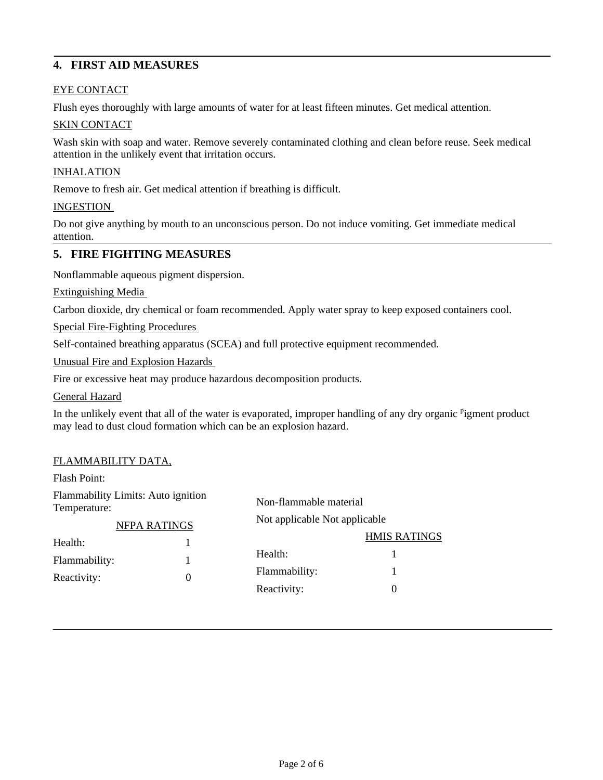# **4. FIRST AID MEASURES**

# EYE CONTACT

Flush eyes thoroughly with large amounts of water for at least fifteen minutes. Get medical attention.

#### SKIN CONTACT

Wash skin with soap and water. Remove severely contaminated clothing and clean before reuse. Seek medical attention in the unlikely event that irritation occurs.

#### **INHALATION**

Remove to fresh air. Get medical attention if breathing is difficult.

#### INGESTION

Do not give anything by mouth to an unconscious person. Do not induce vomiting. Get immediate medical attention.

# **5. FIRE FIGHTING MEASURES**

Nonflammable aqueous pigment dispersion.

Extinguishing Media

Carbon dioxide, dry chemical or foam recommended. Apply water spray to keep exposed containers cool.

Special Fire-Fighting Procedures

Self-contained breathing apparatus (SCEA) and full protective equipment recommended.

Unusual Fire and Explosion Hazards

Fire or excessive heat may produce hazardous decomposition products.

General Hazard

In the unlikely event that all of the water is evaporated, improper handling of any dry organic <sup>p</sup>igment product may lead to dust cloud formation which can be an explosion hazard.

#### FLAMMABILITY DATA,

Flash Point:

Flammability Limits: Auto ignition Temperature: NFPA RATINGS Health: 1 Flammability: 1 Reactivity: 0 Non-flammable material Not applicable Not applicable HMIS RATINGS Health: 1 Flammability: 1 Reactivity: 0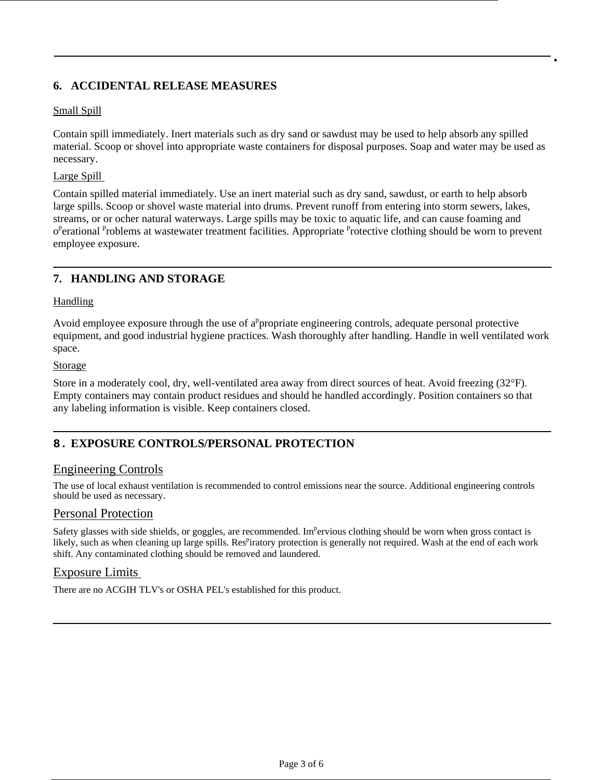# **6. ACCIDENTAL RELEASE MEASURES**

#### Small Spill

Contain spill immediately. Inert materials such as dry sand or sawdust may be used to help absorb any spilled material. Scoop or shovel into appropriate waste containers for disposal purposes. Soap and water may be used as necessary.

•

#### Large Spill

Contain spilled material immediately. Use an inert material such as dry sand, sawdust, or earth to help absorb large spills. Scoop or shovel waste material into drums. Prevent runoff from entering into storm sewers, lakes, streams, or or ocher natural waterways. Large spills may be toxic to aquatic life, and can cause foaming and o<sup>p</sup>erational <sup>p</sup>roblems at wastewater treatment facilities. Appropriate <sup>p</sup>rotective clothing should be worn to prevent employee exposure.

# **7. HANDLING AND STORAGE**

#### Handling

Avoid employee exposure through the use of  $a^p$  propriate engineering controls, adequate personal protective equipment, and good industrial hygiene practices. Wash thoroughly after handling. Handle in well ventilated work space.

#### Storage

Store in a moderately cool, dry, well-ventilated area away from direct sources of heat. Avoid freezing (32°F). Empty containers may contain product residues and should he handled accordingly. Position containers so that any labeling information is visible. Keep containers closed.

### **8. EXPOSURE CONTROLS/PERSONAL PROTECTION**

#### Engineering Controls

The use of local exhaust ventilation is recommended to control emissions near the source. Additional engineering controls should be used as necessary.

### Personal Protection

Safety glasses with side shields, or goggles, are recommended. Im<sup>p</sup>ervious clothing should be worn when gross contact is likely, such as when cleaning up large spills. Res<sup>p</sup>iratory protection is generally not required. Wash at the end of each work shift. Any contaminated clothing should be removed and laundered.

### Exposure Limits

There are no ACGIH TLV's or OSHA PEL's established for this product.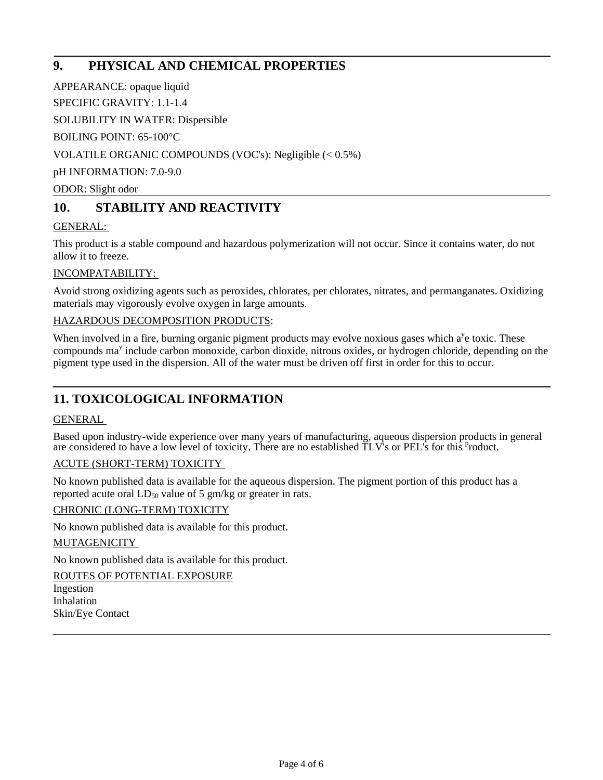# **9. PHYSICAL AND CHEMICAL PROPERTIES**

APPEARANCE: opaque liquid

SPECIFIC GRAVITY: 1.1-1.4

SOLUBILITY IN WATER: Dispersible

BOILING POINT: 65-100°C

VOLATILE ORGANIC COMPOUNDS (VOC's): Negligible (< 0.5%)

pH INFORMATION: 7.0-9.0

ODOR: Slight odor

# **10. STABILITY AND REACTIVITY**

# GENERAL:

This product is a stable compound and hazardous polymerization will not occur. Since it contains water, do not allow it to freeze.

# INCOMPATABILITY:

Avoid strong oxidizing agents such as peroxides, chlorates, per chlorates, nitrates, and permanganates. Oxidizing materials may vigorously evolve oxygen in large amounts.

### HAZARDOUS DECOMPOSITION PRODUCTS:

When involved in a fire, burning organic pigment products may evolve noxious gases which  $a^y$ e toxic. These compounds ma<sup>y</sup> include carbon monoxide, carbon dioxide, nitrous oxides, or hydrogen chloride, depending on the pigment type used in the dispersion. All of the water must be driven off first in order for this to occur.

# **11. TOXICOLOGICAL INFORMATION**

### GENERAL

Based upon industry-wide experience over many years of manufacturing, aqueous dispersion products in general are considered to have a low level of toxicity. There are no established  $\tilde{T}LV$ 's or PEL's for this <sup>p</sup>roduct.

### ACUTE (SHORT-TERM) TOXICITY

No known published data is available for the aqueous dispersion. The pigment portion of this product has a reported acute oral  $LD_{50}$  value of 5 gm/kg or greater in rats.

### CHRONIC (LONG-TERM) TOXICITY

No known published data is available for this product.

#### MUTAGENICITY

No known published data is available for this product.

ROUTES OF POTENTIAL EXPOSURE Ingestion Inhalation Skin/Eye Contact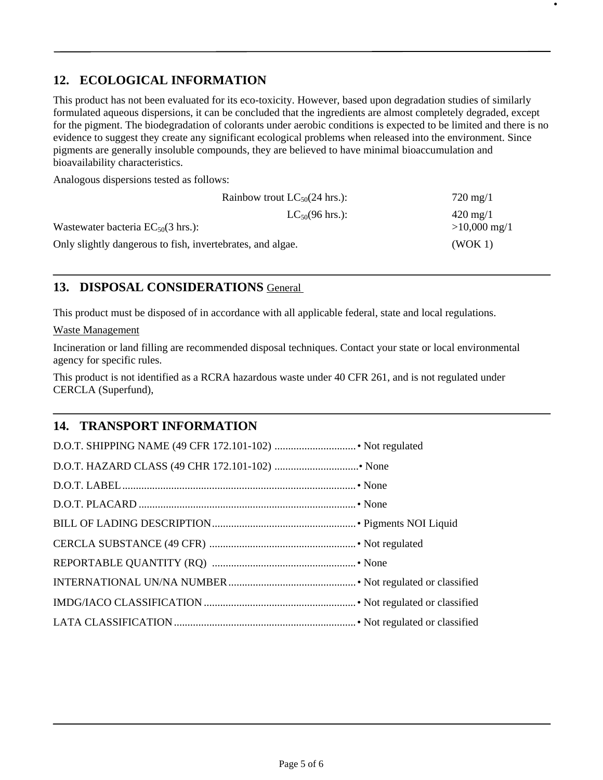# **12. ECOLOGICAL INFORMATION**

This product has not been evaluated for its eco-toxicity. However, based upon degradation studies of similarly formulated aqueous dispersions, it can be concluded that the ingredients are almost completely degraded, except for the pigment. The biodegradation of colorants under aerobic conditions is expected to be limited and there is no evidence to suggest they create any significant ecological problems when released into the environment. Since pigments are generally insoluble compounds, they are believed to have minimal bioaccumulation and bioavailability characteristics.

•

Analogous dispersions tested as follows:

|                                                            | Rainbow trout $LC_{50}(24 \text{ hrs.})$ : | $720 \,\mathrm{mg}/1$  |
|------------------------------------------------------------|--------------------------------------------|------------------------|
|                                                            | $LC_{50}(96 \text{ hrs.})$ :               | $420 \,\mathrm{mg}/1$  |
| Wastewater bacteria $EC_{50}(3 \text{ hrs.})$ :            |                                            | $>10,000 \text{ mg}/1$ |
| Only slightly dangerous to fish, invertebrates, and algae. |                                            | (WOK 1)                |

# **13. DISPOSAL CONSIDERATIONS** General

This product must be disposed of in accordance with all applicable federal, state and local regulations.

Waste Management

Incineration or land filling are recommended disposal techniques. Contact your state or local environmental agency for specific rules.

This product is not identified as a RCRA hazardous waste under 40 CFR 261, and is not regulated under CERCLA (Superfund),

# **14. TRANSPORT INFORMATION**